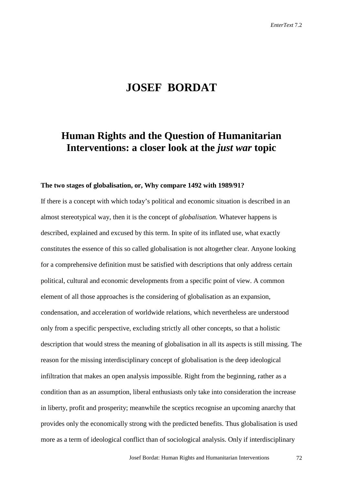## **JOSEF BORDAT**

# **Human Rights and the Question of Humanitarian Interventions: a closer look at the** *just war* **topic**

#### **The two stages of globalisation, or, Why compare 1492 with 1989/91?**

If there is a concept with which today's political and economic situation is described in an almost stereotypical way, then it is the concept of *globalisation.* Whatever happens is described, explained and excused by this term. In spite of its inflated use, what exactly constitutes the essence of this so called globalisation is not altogether clear. Anyone looking for a comprehensive definition must be satisfied with descriptions that only address certain political, cultural and economic developments from a specific point of view. A common element of all those approaches is the considering of globalisation as an expansion, condensation, and acceleration of worldwide relations, which nevertheless are understood only from a specific perspective, excluding strictly all other concepts, so that a holistic description that would stress the meaning of globalisation in all its aspects is still missing. The reason for the missing interdisciplinary concept of globalisation is the deep ideological infiltration that makes an open analysis impossible. Right from the beginning, rather as a condition than as an assumption, liberal enthusiasts only take into consideration the increase in liberty, profit and prosperity; meanwhile the sceptics recognise an upcoming anarchy that provides only the economically strong with the predicted benefits. Thus globalisation is used more as a term of ideological conflict than of sociological analysis. Only if interdisciplinary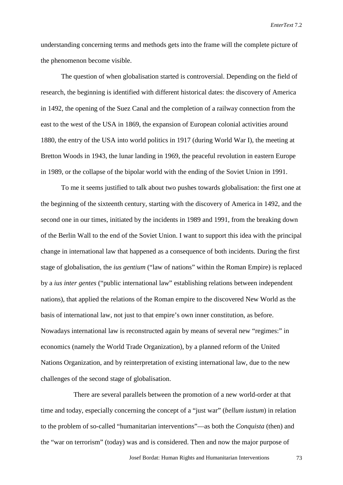understanding concerning terms and methods gets into the frame will the complete picture of the phenomenon become visible.

The question of when globalisation started is controversial. Depending on the field of research, the beginning is identified with different historical dates: the discovery of America in 1492, the opening of the Suez Canal and the completion of a railway connection from the east to the west of the USA in 1869, the expansion of European colonial activities around 1880, the entry of the USA into world politics in 1917 (during World War I), the meeting at Bretton Woods in 1943, the lunar landing in 1969, the peaceful revolution in eastern Europe in 1989, or the collapse of the bipolar world with the ending of the Soviet Union in 1991.

To me it seems justified to talk about two pushes towards globalisation: the first one at the beginning of the sixteenth century, starting with the discovery of America in 1492, and the second one in our times, initiated by the incidents in 1989 and 1991, from the breaking down of the Berlin Wall to the end of the Soviet Union. I want to support this idea with the principal change in international law that happened as a consequence of both incidents. During the first stage of globalisation, the *ius gentium* ("law of nations" within the Roman Empire) is replaced by a *ius inter gentes* ("public international law" establishing relations between independent nations), that applied the relations of the Roman empire to the discovered New World as the basis of international law, not just to that empire's own inner constitution, as before. Nowadays international law is reconstructed again by means of several new "regimes:" in economics (namely the World Trade Organization), by a planned reform of the United Nations Organization, and by reinterpretation of existing international law, due to the new challenges of the second stage of globalisation.

There are several parallels between the promotion of a new world-order at that time and today, especially concerning the concept of a "just war" (*bellum iustum*) in relation to the problem of so-called "humanitarian interventions"—as both the *Conquista* (then) and the "war on terrorism" (today) was and is considered. Then and now the major purpose of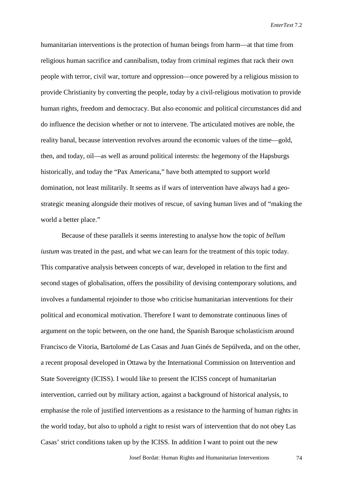humanitarian interventions is the protection of human beings from harm—at that time from religious human sacrifice and cannibalism, today from criminal regimes that rack their own people with terror, civil war, torture and oppression—once powered by a religious mission to provide Christianity by converting the people, today by a civil-religious motivation to provide human rights, freedom and democracy. But also economic and political circumstances did and do influence the decision whether or not to intervene. The articulated motives are noble, the reality banal, because intervention revolves around the economic values of the time—gold, then, and today, oil—as well as around political interests: the hegemony of the Hapsburgs historically, and today the "Pax Americana," have both attempted to support world domination, not least militarily. It seems as if wars of intervention have always had a geostrategic meaning alongside their motives of rescue, of saving human lives and of "making the world a better place."

Because of these parallels it seems interesting to analyse how the topic of *bellum iustum* was treated in the past, and what we can learn for the treatment of this topic today. This comparative analysis between concepts of war, developed in relation to the first and second stages of globalisation, offers the possibility of devising contemporary solutions, and involves a fundamental rejoinder to those who criticise humanitarian interventions for their political and economical motivation. Therefore I want to demonstrate continuous lines of argument on the topic between, on the one hand, the Spanish Baroque scholasticism around Francisco de Vitoria, Bartolomé de Las Casas and Juan Ginés de Sepúlveda, and on the other, a recent proposal developed in Ottawa by the International Commission on Intervention and State Sovereignty (ICISS). I would like to present the ICISS concept of humanitarian intervention, carried out by military action, against a background of historical analysis, to emphasise the role of justified interventions as a resistance to the harming of human rights in the world today, but also to uphold a right to resist wars of intervention that do not obey Las Casas' strict conditions taken up by the ICISS. In addition I want to point out the new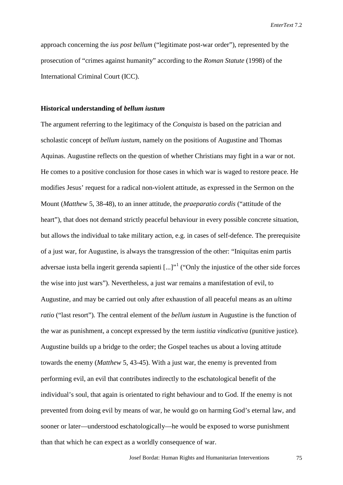approach concerning the *ius post bellum* ("legitimate post-war order"), represented by the prosecution of "crimes against humanity" according to the *Roman Statute* (1998) of the International Criminal Court (ICC).

#### **Historical understanding of** *bellum iustum*

The argument referring to the legitimacy of the *Conquista* is based on the patrician and scholastic concept of *bellum iustum*, namely on the positions of Augustine and Thomas Aquinas. Augustine reflects on the question of whether Christians may fight in a war or not. He comes to a positive conclusion for those cases in which war is waged to restore peace*.* He modifies Jesus' request for a radical non-violent attitude, as expressed in the Sermon on the Mount (*Matthew* 5, 38-48), to an inner attitude, the *praeparatio cordis* ("attitude of the heart"), that does not demand strictly peaceful behaviour in every possible concrete situation, but allows the individual to take military action, e.g. in cases of self-defence. The prerequisite of a just war, for Augustine, is always the transgression of the other: "Iniquitas enim partis adversae iusta bella ingerit gerenda sapienti  $\left[...\right]^{n}$  ("Only the injustice of the other side forces") the wise into just wars"). Nevertheless, a just war remains a manifestation of evil, to Augustine, and may be carried out only after exhaustion of all peaceful means as an *ultima ratio* ("last resort")*.* The central element of the *bellum iustum* in Augustine is the function of the war as punishment, a concept expressed by the term *iustitia vindicativa* (punitive justice). Augustine builds up a bridge to the order; the Gospel teaches us about a loving attitude towards the enemy (*Matthew* 5, 43-45). With a just war, the enemy is prevented from performing evil, an evil that contributes indirectly to the eschatological benefit of the individual's soul, that again is orientated to right behaviour and to God. If the enemy is not prevented from doing evil by means of war, he would go on harming God's eternal law, and sooner or later—understood eschatologically—he would be exposed to worse punishment than that which he can expect as a worldly consequence of war.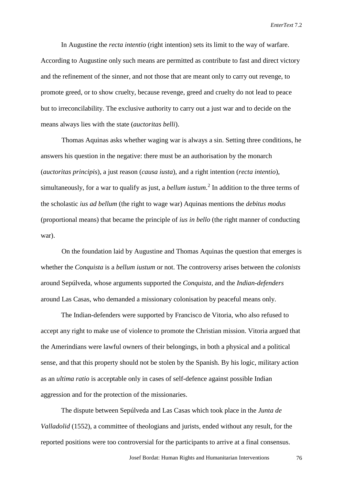In Augustine the *recta intentio* (right intention) sets its limit to the way of warfare. According to Augustine only such means are permitted as contribute to fast and direct victory and the refinement of the sinner, and not those that are meant only to carry out revenge, to promote greed, or to show cruelty, because revenge, greed and cruelty do not lead to peace but to irreconcilability. The exclusive authority to carry out a just war and to decide on the means always lies with the state (*auctoritas belli*).

Thomas Aquinas asks whether waging war is always a sin. Setting three conditions, he answers his question in the negative: there must be an authorisation by the monarch (*auctoritas principis*), a just reason (*causa iusta*), and a right intention (*recta intentio*), simultaneously, for a war to qualify as just, a *bellum iustum*. [2](#page-15-0) In addition to the three terms of the scholastic *ius ad bellum* (the right to wage war) Aquinas mentions the *debitus modus* (proportional means) that became the principle of *ius in bello* (the right manner of conducting war).

On the foundation laid by Augustine and Thomas Aquinas the question that emerges is whether the *Conquista* is a *bellum iustum* or not. The controversy arises between the *colonists* around Sepúlveda, whose arguments supported the *Conquista,* and the *Indian-defenders* around Las Casas, who demanded a missionary colonisation by peaceful means only.

The Indian-defenders were supported by Francisco de Vitoria, who also refused to accept any right to make use of violence to promote the Christian mission. Vitoria argued that the Amerindians were lawful owners of their belongings, in both a physical and a political sense, and that this property should not be stolen by the Spanish. By his logic, military action as an *ultima ratio* is acceptable only in cases of self-defence against possible Indian aggression and for the protection of the missionaries.

The dispute between Sepúlveda and Las Casas which took place in the *Junta de Valladolid* (1552), a committee of theologians and jurists, ended without any result, for the reported positions were too controversial for the participants to arrive at a final consensus.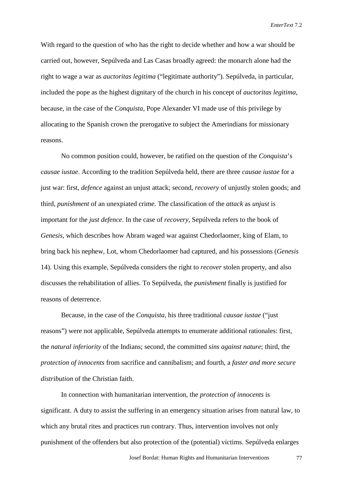With regard to the question of who has the right to decide whether and how a war should be carried out, however, Sepúlveda and Las Casas broadly agreed: the monarch alone had the right to wage a war as *auctoritas legitima* ("legitimate authority"). Sepúlveda, in particular, included the pope as the highest dignitary of the church in his concept of *auctoritas legitima*, because, in the case of the *Conquista,* Pope Alexander VI made use of this privilege by allocating to the Spanish crown the prerogative to subject the Amerindians for missionary reasons.

No common position could, however, be ratified on the question of the *Conquista*'s *causae iustae*. According to the tradition Sepúlveda held, there are three *causae iustae* for a just war: first, *defence* against an unjust attack; second, *recovery* of unjustly stolen goods; and third, *punishment* of an unexpiated crime. The classification of the *attack* as *unjust* is important for the *just defence*. In the case of *recovery*, Sepúlveda refers to the book of *Genesis*, which describes how Abram waged war against Chedorlaomer, king of Elam, to bring back his nephew, Lot, whom Chedorlaomer had captured, and his possessions (*Genesis* 14). Using this example, Sepúlveda considers the right to *recover* stolen property, and also discusses the rehabilitation of allies. To Sepúlveda, the *punishment* finally is justified for reasons of deterrence.

Because, in the case of the *Conquista*, his three traditional *causae iustae* ("just reasons") were not applicable, Sepúlveda attempts to enumerate additional rationales: first, the *natural inferiority* of the Indians; second, the committed *sins against nature*; third, the *protection of innocents* from sacrifice and cannibalism; and fourth, a *faster and more secure distribution* of the Christian faith.

In connection with humanitarian intervention, the *protection of innocents* is significant. A duty to assist the suffering in an emergency situation arises from natural law, to which any brutal rites and practices run contrary. Thus, intervention involves not only punishment of the offenders but also protection of the (potential) victims. Sepúlveda enlarges

Josef Bordat: Human Rights and Humanitarian Interventions 77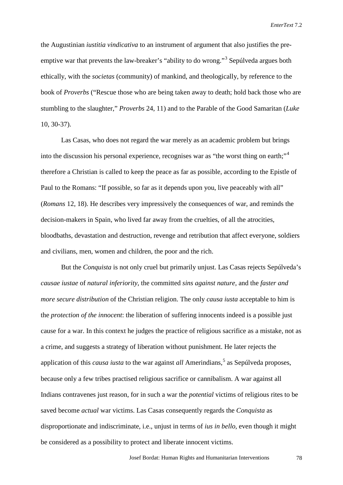the Augustinian *iustitia vindicativa* to an instrument of argument that also justifies the preemptive war that prevents the law-breaker's "ability to do wrong."[3](#page-15-1) Sepúlveda argues both ethically, with the *societas* (community) of mankind, and theologically, by reference to the book of *Proverbs* ("Rescue those who are being taken away to death; hold back those who are stumbling to the slaughter," *Proverbs* 24, 11) and to the Parable of the Good Samaritan (*Luke* 10, 30-37).

Las Casas, who does not regard the war merely as an academic problem but brings into the discussion his personal experience, recognises war as "the worst thing on earth;"[4](#page-15-2) therefore a Christian is called to keep the peace as far as possible, according to the Epistle of Paul to the Romans: "If possible, so far as it depends upon you, live peaceably with all" (*Romans* 12, 18). He describes very impressively the consequences of war, and reminds the decision-makers in Spain, who lived far away from the cruelties, of all the atrocities, bloodbaths, devastation and destruction, revenge and retribution that affect everyone, soldiers and civilians, men, women and children, the poor and the rich.

But the *Conquista* is not only cruel but primarily unjust. Las Casas rejects Sepúlveda's *causae iustae* of *natural inferiority*, the committed *sins against nature,* and the *faster and more secure distribution* of the Christian religion. The only *causa iusta* acceptable to him is the *protection of the innocent*: the liberation of suffering innocents indeed is a possible just cause for a war. In this context he judges the practice of religious sacrifice as a mistake, not as a crime, and suggests a strategy of liberation without punishment. He later rejects the application of this *causa iusta* to the war against *all* Amerindians,<sup>[5](#page-15-3)</sup> as Sepúlveda proposes, because only a few tribes practised religious sacrifice or cannibalism. A war against all Indians contravenes just reason, for in such a war the *potential* victims of religious rites to be saved become *actual* war victims. Las Casas consequently regards the *Conquista* as disproportionate and indiscriminate, i.e., unjust in terms of *ius in bello,* even though it might be considered as a possibility to protect and liberate innocent victims.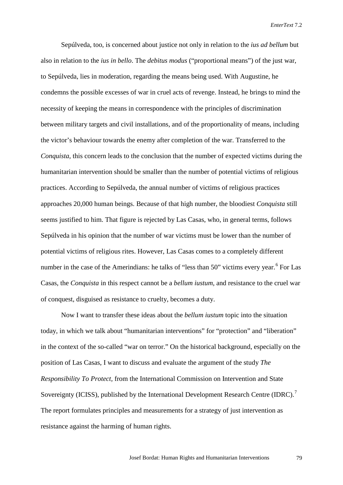Sepúlveda, too, is concerned about justice not only in relation to the *ius ad bellum* but also in relation to the *ius in bello*. The *debitus modus* ("proportional means") of the just war, to Sepúlveda, lies in moderation, regarding the means being used. With Augustine, he condemns the possible excesses of war in cruel acts of revenge. Instead, he brings to mind the necessity of keeping the means in correspondence with the principles of discrimination between military targets and civil installations, and of the proportionality of means, including the victor's behaviour towards the enemy after completion of the war. Transferred to the *Conquista*, this concern leads to the conclusion that the number of expected victims during the humanitarian intervention should be smaller than the number of potential victims of religious practices. According to Sepúlveda, the annual number of victims of religious practices approaches 20,000 human beings. Because of that high number, the bloodiest *Conquista* still seems justified to him. That figure is rejected by Las Casas, who, in general terms, follows Sepúlveda in his opinion that the number of war victims must be lower than the number of potential victims of religious rites. However, Las Casas comes to a completely different number in the case of the Amerindians: he talks of "less than 50" victims every year.<sup>[6](#page-15-4)</sup> For Las Casas, the *Conquista* in this respect cannot be a *bellum iustum*, and resistance to the cruel war of conquest, disguised as resistance to cruelty, becomes a duty.

Now I want to transfer these ideas about the *bellum iustum* topic into the situation today, in which we talk about "humanitarian interventions" for "protection" and "liberation" in the context of the so-called "war on terror." On the historical background, especially on the position of Las Casas, I want to discuss and evaluate the argument of the study *The Responsibility To Protect,* from the International Commission on Intervention and State Sovereignty (ICISS), published by the International Development Research Centre (IDRC).<sup>[7](#page-15-5)</sup> The report formulates principles and measurements for a strategy of just intervention as resistance against the harming of human rights.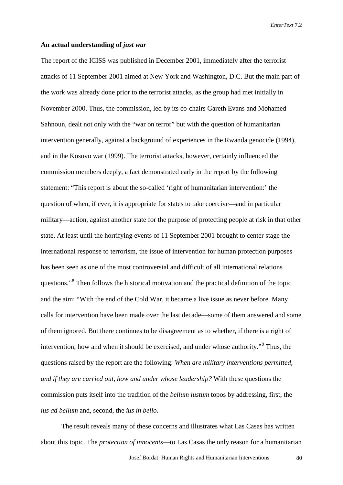#### **An actual understanding of** *just war*

The report of the ICISS was published in December 2001, immediately after the terrorist attacks of 11 September 2001 aimed at New York and Washington, D.C. But the main part of the work was already done prior to the terrorist attacks, as the group had met initially in November 2000. Thus, the commission, led by its co-chairs Gareth Evans and Mohamed Sahnoun, dealt not only with the "war on terror" but with the question of humanitarian intervention generally, against a background of experiences in the Rwanda genocide (1994), and in the Kosovo war (1999). The terrorist attacks, however, certainly influenced the commission members deeply, a fact demonstrated early in the report by the following statement: "This report is about the so-called 'right of humanitarian intervention:' the question of when, if ever, it is appropriate for states to take coercive—and in particular military—action, against another state for the purpose of protecting people at risk in that other state. At least until the horrifying events of 11 September 2001 brought to center stage the international response to terrorism, the issue of intervention for human protection purposes has been seen as one of the most controversial and difficult of all international relations questions."<sup>[8](#page-15-6)</sup> Then follows the historical motivation and the practical definition of the topic and the aim: "With the end of the Cold War, it became a live issue as never before. Many calls for intervention have been made over the last decade—some of them answered and some of them ignored. But there continues to be disagreement as to whether, if there is a right of intervention, how and when it should be exercised, and under whose authority."[9](#page-15-7) Thus, the questions raised by the report are the following: *When are military interventions permitted, and if they are carried out, how and under whose leadership?* With these questions the commission puts itself into the tradition of the *bellum iustum* topos by addressing, first, the *ius ad bellum* and, second, the *ius in bello*.

The result reveals many of these concerns and illustrates what Las Casas has written about this topic. The *protection of innocents*—to Las Casas the only reason for a humanitarian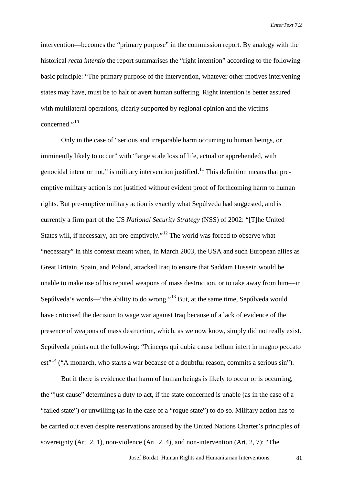intervention—becomes the "primary purpose" in the commission report. By analogy with the historical *recta intentio* the report summarises the "right intention" according to the following basic principle: "The primary purpose of the intervention, whatever other motives intervening states may have, must be to halt or avert human suffering. Right intention is better assured with multilateral operations, clearly supported by regional opinion and the victims concerned." $^{10}$  $^{10}$  $^{10}$ 

Only in the case of "serious and irreparable harm occurring to human beings, or imminently likely to occur" with "large scale loss of life, actual or apprehended, with genocidal intent or not," is military intervention justified.<sup>[11](#page-15-9)</sup> This definition means that preemptive military action is not justified without evident proof of forthcoming harm to human rights. But pre-emptive military action is exactly what Sepúlveda had suggested, and is currently a firm part of the US *National Security Strategy* (NSS) of 2002: "[T]he United States will, if necessary, act pre-emptively."[12](#page-15-10) The world was forced to observe what "necessary" in this context meant when, in March 2003, the USA and such European allies as Great Britain, Spain, and Poland, attacked Iraq to ensure that Saddam Hussein would be unable to make use of his reputed weapons of mass destruction, or to take away from him—in Sepúlveda's words—"the ability to do wrong."[13](#page-15-11) But, at the same time, Sepúlveda would have criticised the decision to wage war against Iraq because of a lack of evidence of the presence of weapons of mass destruction, which, as we now know, simply did not really exist. Sepúlveda points out the following: "Princeps qui dubia causa bellum infert in magno peccato est"<sup>[14](#page-15-12)</sup> ("A monarch, who starts a war because of a doubtful reason, commits a serious sin").

But if there is evidence that harm of human beings is likely to occur or is occurring, the "just cause" determines a duty to act, if the state concerned is unable (as in the case of a "failed state") or unwilling (as in the case of a "rogue state") to do so. Military action has to be carried out even despite reservations aroused by the United Nations Charter's principles of sovereignty (Art. 2, 1), non-violence (Art. 2, 4), and non-intervention (Art. 2, 7): "The

Josef Bordat: Human Rights and Humanitarian Interventions 81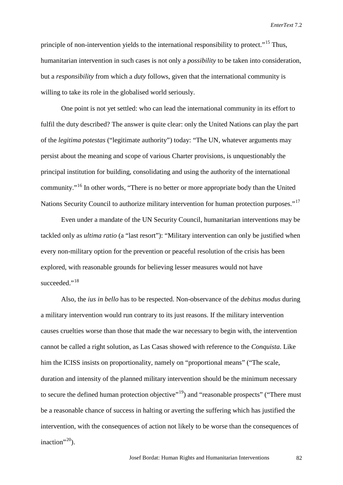principle of non-intervention yields to the international responsibility to protect."<sup>[15](#page-15-13)</sup> Thus, humanitarian intervention in such cases is not only a *possibility* to be taken into consideration, but a *responsibility* from which a *duty* follows, given that the international community is willing to take its role in the globalised world seriously.

One point is not yet settled: who can lead the international community in its effort to fulfil the duty described? The answer is quite clear: only the United Nations can play the part of the *legitima potestas* ("legitimate authority") today: "The UN, whatever arguments may persist about the meaning and scope of various Charter provisions, is unquestionably the principal institution for building, consolidating and using the authority of the international community."[16](#page-15-14) In other words, "There is no better or more appropriate body than the United Nations Security Council to authorize military intervention for human protection purposes."<sup>[17](#page-15-15)</sup>

Even under a mandate of the UN Security Council, humanitarian interventions may be tackled only as *ultima ratio* (a "last resort"): "Military intervention can only be justified when every non-military option for the prevention or peaceful resolution of the crisis has been explored, with reasonable grounds for believing lesser measures would not have succeeded." $^{18}$  $^{18}$  $^{18}$ 

Also, the *ius in bello* has to be respected. Non-observance of the *debitus modus* during a military intervention would run contrary to its just reasons. If the military intervention causes cruelties worse than those that made the war necessary to begin with, the intervention cannot be called a right solution, as Las Casas showed with reference to the *Conquista*. Like him the ICISS insists on proportionality, namely on "proportional means" ("The scale, duration and intensity of the planned military intervention should be the minimum necessary to secure the defined human protection objective"<sup>19</sup>) and "reasonable prospects" ("There must be a reasonable chance of success in halting or averting the suffering which has justified the intervention, with the consequences of action not likely to be worse than the consequences of inaction". $20$ ).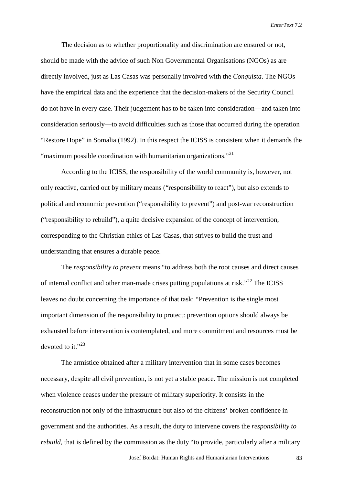The decision as to whether proportionality and discrimination are ensured or not, should be made with the advice of such Non Governmental Organisations (NGOs) as are directly involved, just as Las Casas was personally involved with the *Conquista*. The NGOs have the empirical data and the experience that the decision-makers of the Security Council do not have in every case. Their judgement has to be taken into consideration—and taken into consideration seriously—to avoid difficulties such as those that occurred during the operation "Restore Hope" in Somalia (1992). In this respect the ICISS is consistent when it demands the "maximum possible coordination with humanitarian organizations."<sup>[21](#page-15-19)</sup>

According to the ICISS, the responsibility of the world community is, however, not only reactive, carried out by military means ("responsibility to react"), but also extends to political and economic prevention ("responsibility to prevent") and post-war reconstruction ("responsibility to rebuild"), a quite decisive expansion of the concept of intervention, corresponding to the Christian ethics of Las Casas, that strives to build the trust and understanding that ensures a durable peace.

The *responsibility to prevent* means "to address both the root causes and direct causes of internal conflict and other man-made crises putting populations at risk.<sup>"[22](#page-15-20)</sup> The ICISS leaves no doubt concerning the importance of that task: "Prevention is the single most important dimension of the responsibility to protect: prevention options should always be exhausted before intervention is contemplated, and more commitment and resources must be devoted to it." $^{23}$  $^{23}$  $^{23}$ 

The armistice obtained after a military intervention that in some cases becomes necessary, despite all civil prevention, is not yet a stable peace. The mission is not completed when violence ceases under the pressure of military superiority. It consists in the reconstruction not only of the infrastructure but also of the citizens' broken confidence in government and the authorities. As a result, the duty to intervene covers the *responsibility to rebuild*, that is defined by the commission as the duty "to provide, particularly after a military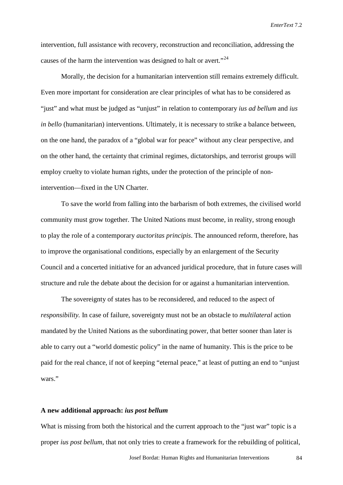intervention, full assistance with recovery, reconstruction and reconciliation, addressing the causes of the harm the intervention was designed to halt or avert."<sup>[24](#page-15-22)</sup>

Morally, the decision for a humanitarian intervention still remains extremely difficult. Even more important for consideration are clear principles of what has to be considered as "just" and what must be judged as "unjust" in relation to contemporary *ius ad bellum* and *ius in bello* (humanitarian) interventions. Ultimately, it is necessary to strike a balance between, on the one hand, the paradox of a "global war for peace" without any clear perspective, and on the other hand, the certainty that criminal regimes, dictatorships, and terrorist groups will employ cruelty to violate human rights, under the protection of the principle of nonintervention—fixed in the UN Charter.

To save the world from falling into the barbarism of both extremes, the civilised world community must grow together. The United Nations must become, in reality, strong enough to play the role of a contemporary *auctoritas principis*. The announced reform, therefore, has to improve the organisational conditions, especially by an enlargement of the Security Council and a concerted initiative for an advanced juridical procedure, that in future cases will structure and rule the debate about the decision for or against a humanitarian intervention.

The sovereignty of states has to be reconsidered, and reduced to the aspect of *responsibility.* In case of failure, sovereignty must not be an obstacle to *multilateral* action mandated by the United Nations as the subordinating power, that better sooner than later is able to carry out a "world domestic policy" in the name of humanity. This is the price to be paid for the real chance, if not of keeping "eternal peace," at least of putting an end to "unjust wars."

### **A new additional approach:** *ius post bellum*

What is missing from both the historical and the current approach to the "just war" topic is a proper *ius post bellum*, that not only tries to create a framework for the rebuilding of political,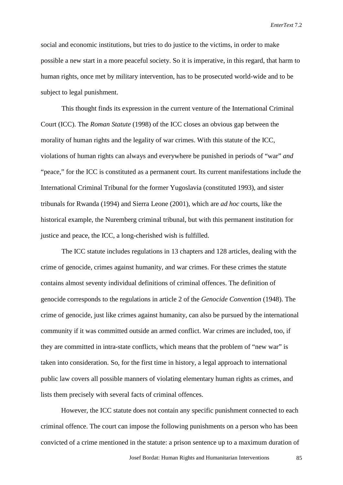social and economic institutions, but tries to do justice to the victims, in order to make possible a new start in a more peaceful society. So it is imperative, in this regard, that harm to human rights, once met by military intervention, has to be prosecuted world-wide and to be subject to legal punishment.

This thought finds its expression in the current venture of the International Criminal Court (ICC). The *Roman Statute* (1998) of the ICC closes an obvious gap between the morality of human rights and the legality of war crimes. With this statute of the ICC, violations of human rights can always and everywhere be punished in periods of "war" *and* "peace," for the ICC is constituted as a permanent court. Its current manifestations include the International Criminal Tribunal for the former Yugoslavia (constituted 1993), and sister tribunals for Rwanda (1994) and Sierra Leone (2001), which are *ad hoc* courts, like the historical example, the Nuremberg criminal tribunal, but with this permanent institution for justice and peace, the ICC, a long-cherished wish is fulfilled.

The ICC statute includes regulations in 13 chapters and 128 articles, dealing with the crime of genocide, crimes against humanity, and war crimes. For these crimes the statute contains almost seventy individual definitions of criminal offences. The definition of genocide corresponds to the regulations in article 2 of the *Genocide Convention* (1948). The crime of genocide, just like crimes against humanity, can also be pursued by the international community if it was committed outside an armed conflict. War crimes are included, too, if they are committed in intra-state conflicts, which means that the problem of "new war" is taken into consideration. So, for the first time in history, a legal approach to international public law covers all possible manners of violating elementary human rights as crimes, and lists them precisely with several facts of criminal offences.

However, the ICC statute does not contain any specific punishment connected to each criminal offence. The court can impose the following punishments on a person who has been convicted of a crime mentioned in the statute: a prison sentence up to a maximum duration of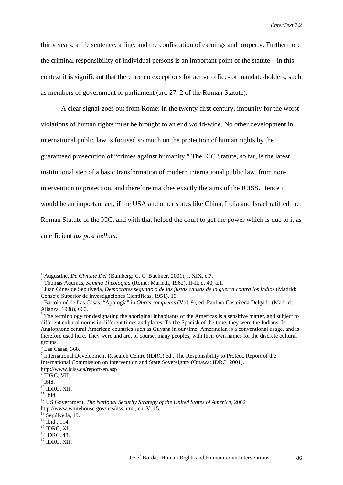thirty years, a life sentence, a fine, and the confiscation of earnings and property. Furthermore the criminal responsibility of individual persons is an important point of the statute—in this context it is significant that there are no exceptions for active office- or mandate-holders, such as members of government or parliament (art. 27, 2 of the Roman Statute).

A clear signal goes out from Rome: in the twenty-first century, impunity for the worst violations of human rights must be brought to an end world-wide. No other development in international public law is focused so much on the protection of human rights by the guaranteed prosecution of "crimes against humanity." The ICC Statute, so far, is the latest institutional step of a basic transformation of modern international public law, from nonintervention to protection, and therefore matches exactly the aims of the ICISS. Hence it would be an important act, if the USA and other states like China, India and Israel ratified the Roman Statute of the ICC, and with that helped the court to get the power which is due to it as an efficient *ius post bellum*.

<span id="page-14-0"></span><sup>&</sup>lt;sup>1</sup> Augustine, *De Civitate Dei* (Bamberg: C. C. Buchner, 2001), l. XIX, c.7.<br><sup>2</sup> Thomas Aquinas, *Summa Theologica* (Rome: Marietti, 1962), II-II, q. 40, a.1.<br><sup>3</sup> Juan Ginés de Sepúlveda, *Democrates segundo o de las jus* Consejo Superior de Investigaciones Científicas, 1951), 19.<br><sup>4</sup> Bartolomé de Las Casas, "Apología".in *Obras completas* (Vol. 9), ed. Paulino Casteñeda Delgado (Madrid:

Alianza, 1988), 660.<br><sup>5</sup> The terminology for designating the aboriginal inhabitants of the Americas is a sensitive matter, and subject to different cultural norms in different times and places. To the Spanish of the time, they were the Indians. In Anglophone central American countries such as Guyana in our time, Amerindian is a conventional usage, and is therefore used here. They were and are, of course, many peoples, with their own names for the discrete cultural groups.

 $6$  Las Casas, 368.

 $7$  International Development Research Centre (IDRC) ed., The Responsibility to Protect. Report of the International Commission on Intervention and State Sovereignty (Ottawa: IDRC, 2001).

http://www.iciss.ca/report-en.asp <sup>8</sup> IDRC, VII.

 $\int_{10}^{9}$  Ibid.<br><sup>10</sup> IDRC, XII.

<sup>&</sup>lt;sup>11</sup> Ibid. <sup>12</sup> US Government, *The National Security Strategy of the United States of America*, 2002 http://www.whitehouse.gov/ncs/nss.html, ch. V, 15.<br><sup>13</sup> Sepúlveda, 19.

<sup>&</sup>lt;sup>14</sup> Ibid., 114.<br><sup>15</sup> IDRC, XI.<br><sup>16</sup> IDRC, 48. <sup>17</sup> IDRC, XII.